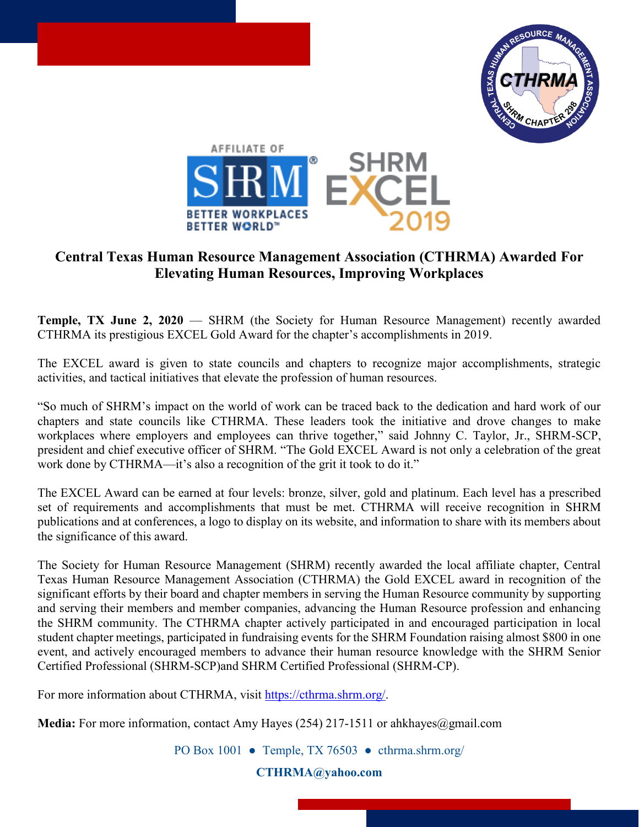



## **Central Texas Human Resource Management Association (CTHRMA) Awarded For Elevating Human Resources, Improving Workplaces**

**Temple, TX June 2, 2020** — SHRM (the Society for Human Resource Management) recently awarded CTHRMA its prestigious EXCEL Gold Award for the chapter's accomplishments in 2019.

The EXCEL award is given to state councils and chapters to recognize major accomplishments, strategic activities, and tactical initiatives that elevate the profession of human resources.

"So much of SHRM's impact on the world of work can be traced back to the dedication and hard work of our chapters and state councils like CTHRMA. These leaders took the initiative and drove changes to make workplaces where employers and employees can thrive together," said Johnny C. Taylor, Jr., SHRM-SCP, president and chief executive officer of SHRM. "The Gold EXCEL Award is not only a celebration of the great work done by CTHRMA—it's also a recognition of the grit it took to do it."

The EXCEL Award can be earned at four levels: bronze, silver, gold and platinum. Each level has a prescribed set of requirements and accomplishments that must be met. CTHRMA will receive recognition in SHRM publications and at conferences, a logo to display on its website, and information to share with its members about the significance of this award.

The Society for Human Resource Management (SHRM) recently awarded the local affiliate chapter, Central Texas Human Resource Management Association (CTHRMA) the Gold EXCEL award in recognition of the significant efforts by their board and chapter members in serving the Human Resource community by supporting and serving their members and member companies, advancing the Human Resource profession and enhancing the SHRM community. The CTHRMA chapter actively participated in and encouraged participation in local student chapter meetings, participated in fundraising events for the SHRM Foundation raising almost \$800 in one event, and actively encouraged members to advance their human resource knowledge with the SHRM Senior Certified Professional (SHRM-SCP)and SHRM Certified Professional (SHRM-CP).

For more information about CTHRMA, visit [https://cthrma.shrm.org/.](https://cthrma.shrm.org/)

**Media:** For more information, contact Amy Hayes (254) 217-1511 or ahkhayes@gmail.com

PO Box 1001 ● Temple, TX 76503 ● [cthrma.shrm.org/](https://cthrma.shrm.org/)

**[CTHRMA@yahoo.com](mailto:CTHRMA@yahoo.com)**